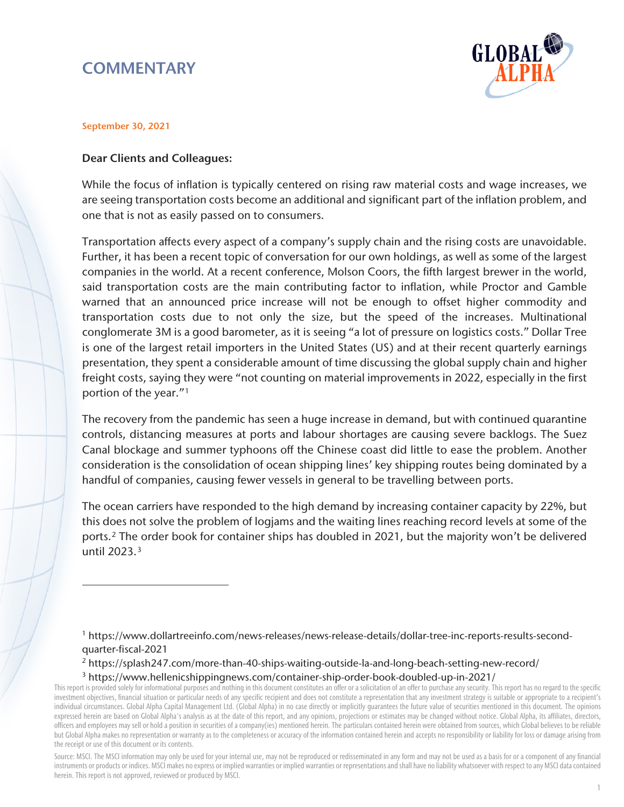# **COMMENTARY**



#### September 30, 2021

 $\overline{a}$ 

### Dear Clients and Colleagues:

While the focus of inflation is typically centered on rising raw material costs and wage increases, we are seeing transportation costs become an additional and significant part of the inflation problem, and one that is not as easily passed on to consumers.

Transportation affects every aspect of a company's supply chain and the rising costs are unavoidable. Further, it has been a recent topic of conversation for our own holdings, as well as some of the largest companies in the world. At a recent conference, Molson Coors, the fifth largest brewer in the world, said transportation costs are the main contributing factor to inflation, while Proctor and Gamble warned that an announced price increase will not be enough to offset higher commodity and transportation costs due to not only the size, but the speed of the increases. Multinational conglomerate 3M is a good barometer, as it is seeing "a lot of pressure on logistics costs." Dollar Tree is one of the largest retail importers in the United States (US) and at their recent quarterly earnings presentation, they spent a considerable amount of time discussing the global supply chain and higher freight costs, saying they were "not counting on material improvements in 2022, especially in the first portion of the year."[1](#page-0-0)

The recovery from the pandemic has seen a huge increase in demand, but with continued quarantine controls, distancing measures at ports and labour shortages are causing severe backlogs. The Suez Canal blockage and summer typhoons off the Chinese coast did little to ease the problem. Another consideration is the consolidation of ocean shipping lines' key shipping routes being dominated by a handful of companies, causing fewer vessels in general to be travelling between ports.

The ocean carriers have responded to the high demand by increasing container capacity by 22%, but this does not solve the problem of logjams and the waiting lines reaching record levels at some of the ports.[2](#page-0-1) The order book for container ships has doubled in 2021, but the majority won't be delivered until 2023.[3](#page-0-2)

<sup>1</sup> https://www.dollartreeinfo.com/news-releases/news-release-details/dollar-tree-inc-reports-results-secondquarter-fiscal-2021

<sup>2</sup> https://splash247.com/more-than-40-ships-waiting-outside-la-and-long-beach-setting-new-record/ <sup>3</sup> https://www.hellenicshippingnews.com/container-ship-order-book-doubled-up-in-2021/

<span id="page-0-2"></span><span id="page-0-1"></span><span id="page-0-0"></span>This report is provided solely for informational purposes and nothing in this document constitutes an offer or a solicitation of an offer to purchase any security. This report has no regard to the specific investment objectives, financial situation or particular needs of any specific recipient and does not constitute a representation that any investment strategy is suitable or appropriate to a recipient's individual circumstances. Global Alpha Capital Management Ltd. (Global Alpha) in no case directly or implicitly guarantees the future value of securities mentioned in this document. The opinions expressed herein are based on Global Alpha's analysis as at the date of this report, and any opinions, projections or estimates may be changed without notice. Global Alpha, its affiliates, directors, officers and employees may sell or hold a position in securities of a company(ies) mentioned herein. The particulars contained herein were obtained from sources, which Global believes to be reliable but Global Alpha makes no representation or warranty as to the completeness or accuracy of the information contained herein and accepts no responsibility or liability for loss or damage arising from the receipt or use of this document or its contents.

Source: MSCI. The MSCI information may only be used for your internal use, may not be reproduced or redisseminated in any form and may not be used as a basis for or a component of any financial instruments or products or indices. MSCI makes no express or implied warranties or implied warranties or representations and shall have no liability whatsoever with respect to any MSCI data contained herein. This report is not approved, reviewed or produced by MSCI.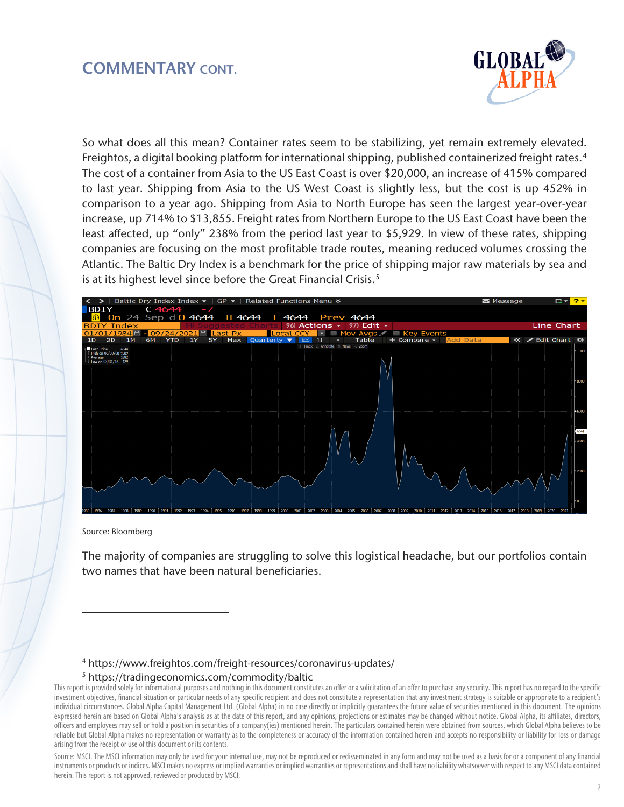### COMMENTARY CONT.



So what does all this mean? Container rates seem to be stabilizing, yet remain extremely elevated. Freightos, a digital booking platform for international shipping, published containerized freight rates.<sup>[4](#page-1-0)</sup> The cost of a container from Asia to the US East Coast is over \$20,000, an increase of 415% compared to last year. Shipping from Asia to the US West Coast is slightly less, but the cost is up 452% in comparison to a year ago. Shipping from Asia to North Europe has seen the largest year-over-year increase, up 714% to \$13,855. Freight rates from Northern Europe to the US East Coast have been the least affected, up "only" 238% from the period last year to \$5,929. In view of these rates, shipping companies are focusing on the most profitable trade routes, meaning reduced volumes crossing the Atlantic. The Baltic Dry Index is a benchmark for the price of shipping major raw materials by sea and is at its highest level since before the Great Financial Crisis.<sup>5</sup>



Source: Bloomberg

 $\overline{a}$ 

The majority of companies are struggling to solve this logistical headache, but our portfolios contain two names that have been natural beneficiaries.

<sup>4</sup> https://www.freightos.com/freight-resources/coronavirus-updates/

#### <sup>5</sup> https://tradingeconomics.com/commodity/baltic

Source: MSCI. The MSCI information may only be used for your internal use, may not be reproduced or redisseminated in any form and may not be used as a basis for or a component of any financial instruments or products or indices. MSCI makes no express or implied warranties or implied warranties or representations and shall have no liability whatsoever with respect to any MSCI data contained herein. This report is not approved, reviewed or produced by MSCI.

<span id="page-1-1"></span><span id="page-1-0"></span>This report is provided solely for informational purposes and nothing in this document constitutes an offer or a solicitation of an offer to purchase any security. This report has no regard to the specific investment objectives, financial situation or particular needs of any specific recipient and does not constitute a representation that any investment strategy is suitable or appropriate to a recipient's individual circumstances. Global Alpha Capital Management Ltd. (Global Alpha) in no case directly or implicitly guarantees the future value of securities mentioned in this document. The opinions expressed herein are based on Global Alpha's analysis as at the date of this report, and any opinions, projections or estimates may be changed without notice. Global Alpha, its affiliates, directors, officers and employees may sell or hold a position in securities of a company(ies) mentioned herein. The particulars contained herein were obtained from sources, which Global Alpha believes to be reliable but Global Alpha makes no representation or warranty as to the completeness or accuracy of the information contained herein and accepts no responsibility or liability for loss or damage arising from the receipt or use of this document or its contents.